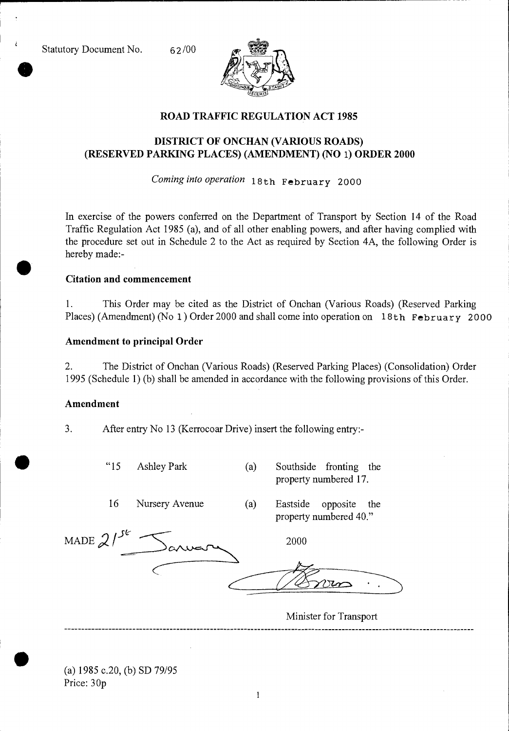Statutory Document No. 62/00



## **ROAD TRAFFIC REGULATION ACT 1985**

# **DISTRICT OF ONCHAN (VARIOUS ROADS) (RESERVED PARKING PLACES) (AMENDMENT) (NO** 1) **ORDER 2000**

*Coming into operation* 18th February 2000

In exercise of the powers conferred on the Department of Transport by Section 14 of the Road Traffic Regulation Act 1985 (a), and of all other enabling powers, and after having complied with the procedure set out in Schedule 2 to the Act as required by Section 4A, the following Order is hereby made:-

### **Citation and commencement**

1. This Order may be cited as the District of Onchan (Various Roads) (Reserved Parking Places) (Amendment) (No 1 ) Order 2000 and shall come into operation on 18th February 2000

### **Amendment to principal Order**

2. The District of Onchan (Various Roads) (Reserved Parking Places) (Consolidation) Order 1995 (Schedule 1) (b) shall be amended in accordance with the following provisions of this Order.

#### **Amendment**

3. After entry No 13 (Kerrocoar Drive) insert the following entry:-

"15 Ashley Park (a) Southside fronting the

property numbered 17.

16 Nursery Avenue (a) Eastside opposite the property numbered 40."

| MADE $21^{5k}$<br>$-a$ | 2000 |
|------------------------|------|
|                        |      |

Minister for Transport

(a) 1985 c.20, (b) SD 79/95 Price: 30p